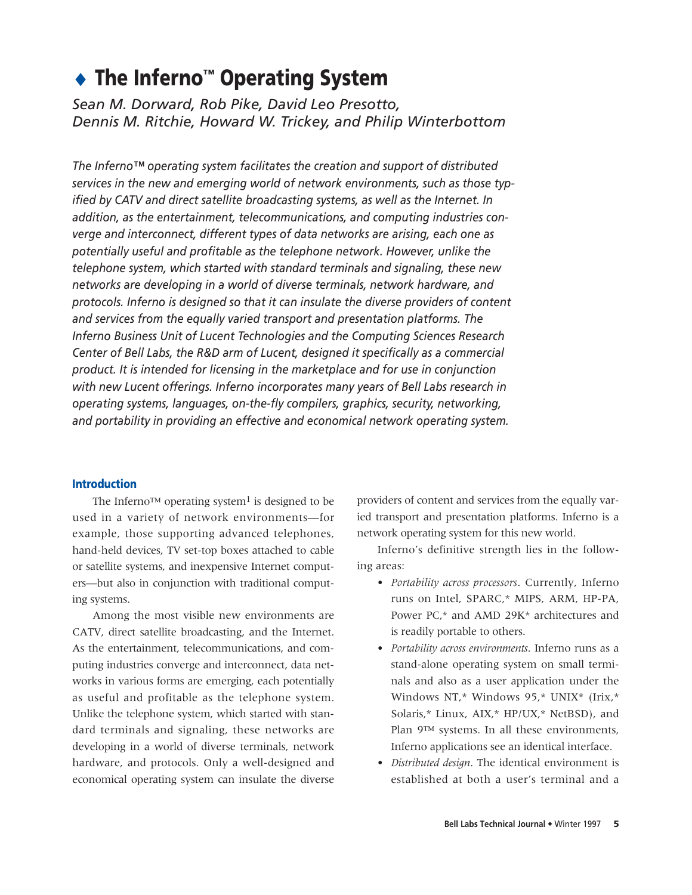# ♦ **The Inferno™ Operating System**

*Sean M. Dorward, Rob Pike, David Leo Presotto, Dennis M. Ritchie, Howard W. Trickey, and Philip Winterbottom*

*The Inferno™ operating system facilitates the creation and support of distributed services in the new and emerging world of network environments, such as those typified by CATV and direct satellite broadcasting systems, as well as the Internet. In addition, as the entertainment, telecommunications, and computing industries converge and interconnect, different types of data networks are arising, each one as potentially useful and profitable as the telephone network. However, unlike the telephone system, which started with standard terminals and signaling, these new networks are developing in a world of diverse terminals, network hardware, and protocols. Inferno is designed so that it can insulate the diverse providers of content and services from the equally varied transport and presentation platforms. The Inferno Business Unit of Lucent Technologies and the Computing Sciences Research Center of Bell Labs, the R&D arm of Lucent, designed it specifically as a commercial product. It is intended for licensing in the marketplace and for use in conjunction with new Lucent offerings. Inferno incorporates many years of Bell Labs research in operating systems, languages, on-the-fly compilers, graphics, security, networking, and portability in providing an effective and economical network operating system.*

# **Introduction**

The Inferno<sup>™</sup> operating system<sup>1</sup> is designed to be used in a variety of network environments—for example, those supporting advanced telephones, hand-held devices, TV set-top boxes attached to cable or satellite systems, and inexpensive Internet computers—but also in conjunction with traditional computing systems.

Among the most visible new environments are CATV, direct satellite broadcasting, and the Internet. As the entertainment, telecommunications, and computing industries converge and interconnect, data networks in various forms are emerging, each potentially as useful and profitable as the telephone system. Unlike the telephone system, which started with standard terminals and signaling, these networks are developing in a world of diverse terminals, network hardware, and protocols. Only a well-designed and economical operating system can insulate the diverse providers of content and services from the equally varied transport and presentation platforms. Inferno is a network operating system for this new world.

Inferno's definitive strength lies in the following areas:

- *Portability across processors*. Currently, Inferno runs on Intel, SPARC,\* MIPS, ARM, HP-PA, Power PC,\* and AMD 29K\* architectures and is readily portable to others.
- *Portability across environments*. Inferno runs as a stand-alone operating system on small terminals and also as a user application under the Windows NT,\* Windows 95,\* UNIX\* (Irix,\* Solaris,\* Linux, AIX,\* HP/UX,\* NetBSD), and Plan 9™ systems. In all these environments, Inferno applications see an identical interface.
- *Distributed design*. The identical environment is established at both a user's terminal and a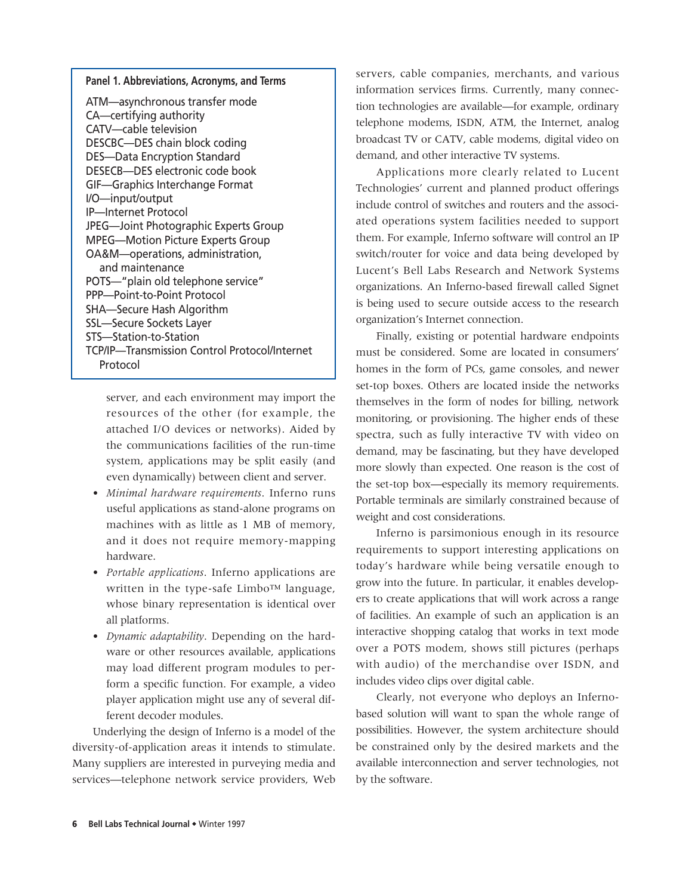## **Panel 1. Abbreviations, Acronyms, and Terms**

ATM—asynchronous transfer mode CA—certifying authority CATV—cable television DESCBC—DES chain block coding DES—Data Encryption Standard DESECB—DES electronic code book GIF—Graphics Interchange Format I/O—input/output IP—Internet Protocol JPEG—Joint Photographic Experts Group MPEG—Motion Picture Experts Group OA&M—operations, administration, and maintenance POTS—"plain old telephone service" PPP—Point-to-Point Protocol SHA—Secure Hash Algorithm SSL—Secure Sockets Layer STS—Station-to-Station TCP/IP—Transmission Control Protocol/Internet Protocol

server, and each environment may import the resources of the other (for example, the attached I/O devices or networks). Aided by the communications facilities of the run-time system, applications may be split easily (and even dynamically) between client and server.

- *Minimal hardware requirements*. Inferno runs useful applications as stand-alone programs on machines with as little as 1 MB of memory, and it does not require memory-mapping hardware.
- *Portable applications*. Inferno applications are written in the type-safe Limbo™ language, whose binary representation is identical over all platforms.
- *Dynamic adaptability*. Depending on the hardware or other resources available, applications may load different program modules to perform a specific function. For example, a video player application might use any of several different decoder modules.

Underlying the design of Inferno is a model of the diversity-of-application areas it intends to stimulate. Many suppliers are interested in purveying media and services—telephone network service providers, Web servers, cable companies, merchants, and various information services firms. Currently, many connection technologies are available—for example, ordinary telephone modems, ISDN, ATM, the Internet, analog broadcast TV or CATV, cable modems, digital video on demand, and other interactive TV systems.

Applications more clearly related to Lucent Technologies' current and planned product offerings include control of switches and routers and the associated operations system facilities needed to support them. For example, Inferno software will control an IP switch/router for voice and data being developed by Lucent's Bell Labs Research and Network Systems organizations. An Inferno-based firewall called Signet is being used to secure outside access to the research organization's Internet connection.

Finally, existing or potential hardware endpoints must be considered. Some are located in consumers' homes in the form of PCs, game consoles, and newer set-top boxes. Others are located inside the networks themselves in the form of nodes for billing, network monitoring, or provisioning. The higher ends of these spectra, such as fully interactive TV with video on demand, may be fascinating, but they have developed more slowly than expected. One reason is the cost of the set-top box—especially its memory requirements. Portable terminals are similarly constrained because of weight and cost considerations.

Inferno is parsimonious enough in its resource requirements to support interesting applications on today's hardware while being versatile enough to grow into the future. In particular, it enables developers to create applications that will work across a range of facilities. An example of such an application is an interactive shopping catalog that works in text mode over a POTS modem, shows still pictures (perhaps with audio) of the merchandise over ISDN, and includes video clips over digital cable.

Clearly, not everyone who deploys an Infernobased solution will want to span the whole range of possibilities. However, the system architecture should be constrained only by the desired markets and the available interconnection and server technologies, not by the software.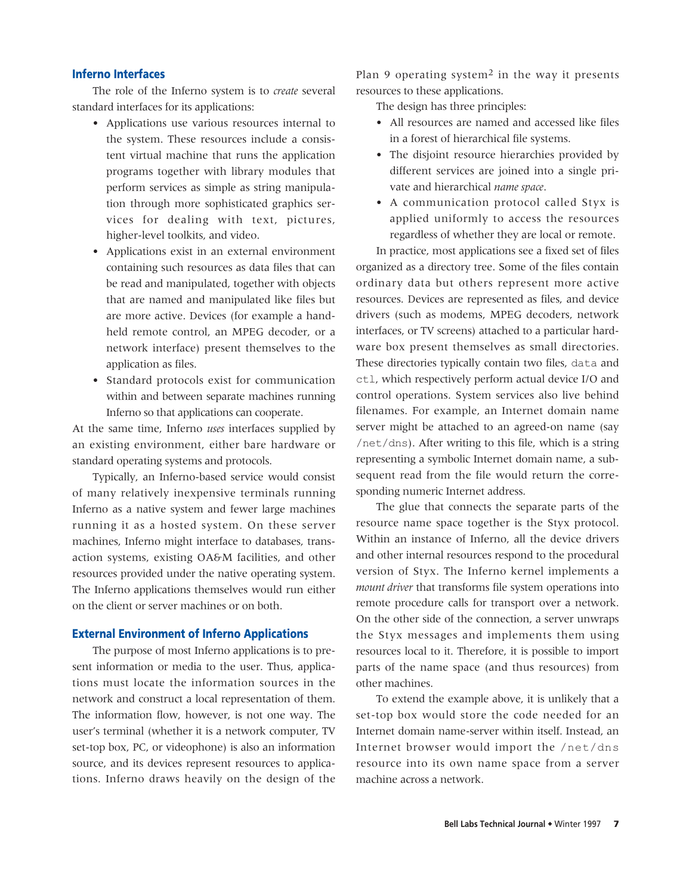## **Inferno Interfaces**

The role of the Inferno system is to *create* several standard interfaces for its applications:

- Applications use various resources internal to the system. These resources include a consistent virtual machine that runs the application programs together with library modules that perform services as simple as string manipulation through more sophisticated graphics services for dealing with text, pictures, higher-level toolkits, and video.
- Applications exist in an external environment containing such resources as data files that can be read and manipulated, together with objects that are named and manipulated like files but are more active. Devices (for example a handheld remote control, an MPEG decoder, or a network interface) present themselves to the application as files.
- Standard protocols exist for communication within and between separate machines running Inferno so that applications can cooperate.

At the same time, Inferno *uses* interfaces supplied by an existing environment, either bare hardware or standard operating systems and protocols.

Typically, an Inferno-based service would consist of many relatively inexpensive terminals running Inferno as a native system and fewer large machines running it as a hosted system. On these server machines, Inferno might interface to databases, transaction systems, existing OA&M facilities, and other resources provided under the native operating system. The Inferno applications themselves would run either on the client or server machines or on both.

# **External Environment of Inferno Applications**

The purpose of most Inferno applications is to present information or media to the user. Thus, applications must locate the information sources in the network and construct a local representation of them. The information flow, however, is not one way. The user's terminal (whether it is a network computer, TV set-top box, PC, or videophone) is also an information source, and its devices represent resources to applications. Inferno draws heavily on the design of the

Plan 9 operating system2 in the way it presents resources to these applications.

The design has three principles:

- All resources are named and accessed like files in a forest of hierarchical file systems.
- The disjoint resource hierarchies provided by different services are joined into a single private and hierarchical *name space*.
- A communication protocol called Styx is applied uniformly to access the resources regardless of whether they are local or remote.

In practice, most applications see a fixed set of files organized as a directory tree. Some of the files contain ordinary data but others represent more active resources. Devices are represented as files, and device drivers (such as modems, MPEG decoders, network interfaces, or TV screens) attached to a particular hardware box present themselves as small directories. These directories typically contain two files, data and ctl, which respectively perform actual device I/O and control operations. System services also live behind filenames. For example, an Internet domain name server might be attached to an agreed-on name (say /net/dns). After writing to this file, which is a string representing a symbolic Internet domain name, a subsequent read from the file would return the corresponding numeric Internet address.

The glue that connects the separate parts of the resource name space together is the Styx protocol. Within an instance of Inferno, all the device drivers and other internal resources respond to the procedural version of Styx. The Inferno kernel implements a *mount driver* that transforms file system operations into remote procedure calls for transport over a network. On the other side of the connection, a server unwraps the Styx messages and implements them using resources local to it. Therefore, it is possible to import parts of the name space (and thus resources) from other machines.

To extend the example above, it is unlikely that a set-top box would store the code needed for an Internet domain name-server within itself. Instead, an Internet browser would import the /net/dns resource into its own name space from a server machine across a network.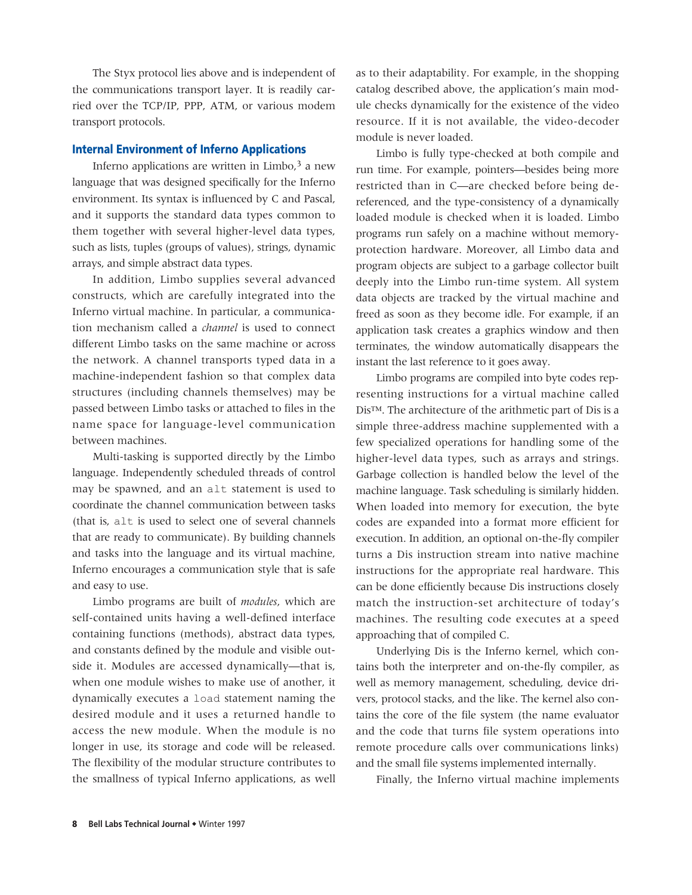The Styx protocol lies above and is independent of the communications transport layer. It is readily carried over the TCP/IP, PPP, ATM, or various modem transport protocols.

# **Internal Environment of Inferno Applications**

Inferno applications are written in Limbo, $3$  a new language that was designed specifically for the Inferno environment. Its syntax is influenced by C and Pascal, and it supports the standard data types common to them together with several higher-level data types, such as lists, tuples (groups of values), strings, dynamic arrays, and simple abstract data types.

In addition, Limbo supplies several advanced constructs, which are carefully integrated into the Inferno virtual machine. In particular, a communication mechanism called a *channel* is used to connect different Limbo tasks on the same machine or across the network. A channel transports typed data in a machine-independent fashion so that complex data structures (including channels themselves) may be passed between Limbo tasks or attached to files in the name space for language-level communication between machines.

Multi-tasking is supported directly by the Limbo language. Independently scheduled threads of control may be spawned, and an alt statement is used to coordinate the channel communication between tasks (that is, alt is used to select one of several channels that are ready to communicate). By building channels and tasks into the language and its virtual machine, Inferno encourages a communication style that is safe and easy to use.

Limbo programs are built of *modules*, which are self-contained units having a well-defined interface containing functions (methods), abstract data types, and constants defined by the module and visible outside it. Modules are accessed dynamically—that is, when one module wishes to make use of another, it dynamically executes a load statement naming the desired module and it uses a returned handle to access the new module. When the module is no longer in use, its storage and code will be released. The flexibility of the modular structure contributes to the smallness of typical Inferno applications, as well

as to their adaptability. For example, in the shopping catalog described above, the application's main module checks dynamically for the existence of the video resource. If it is not available, the video-decoder module is never loaded.

Limbo is fully type-checked at both compile and run time. For example, pointers—besides being more restricted than in C—are checked before being dereferenced, and the type-consistency of a dynamically loaded module is checked when it is loaded. Limbo programs run safely on a machine without memoryprotection hardware. Moreover, all Limbo data and program objects are subject to a garbage collector built deeply into the Limbo run-time system. All system data objects are tracked by the virtual machine and freed as soon as they become idle. For example, if an application task creates a graphics window and then terminates, the window automatically disappears the instant the last reference to it goes away.

Limbo programs are compiled into byte codes representing instructions for a virtual machine called Dis™. The architecture of the arithmetic part of Dis is a simple three-address machine supplemented with a few specialized operations for handling some of the higher-level data types, such as arrays and strings. Garbage collection is handled below the level of the machine language. Task scheduling is similarly hidden. When loaded into memory for execution, the byte codes are expanded into a format more efficient for execution. In addition, an optional on-the-fly compiler turns a Dis instruction stream into native machine instructions for the appropriate real hardware. This can be done efficiently because Dis instructions closely match the instruction-set architecture of today's machines. The resulting code executes at a speed approaching that of compiled C.

Underlying Dis is the Inferno kernel, which contains both the interpreter and on-the-fly compiler, as well as memory management, scheduling, device drivers, protocol stacks, and the like. The kernel also contains the core of the file system (the name evaluator and the code that turns file system operations into remote procedure calls over communications links) and the small file systems implemented internally.

Finally, the Inferno virtual machine implements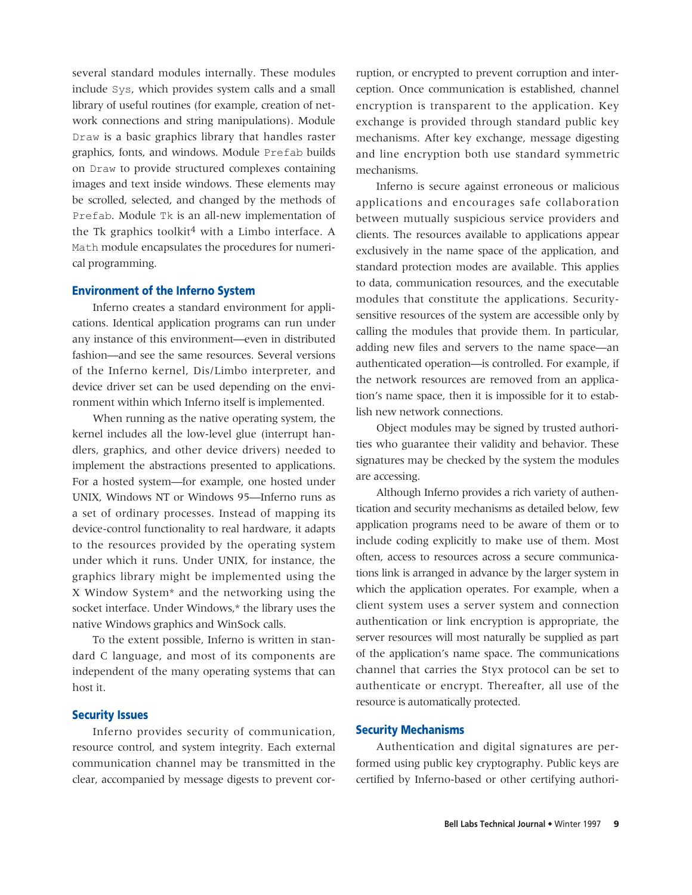several standard modules internally. These modules include Sys, which provides system calls and a small library of useful routines (for example, creation of network connections and string manipulations). Module Draw is a basic graphics library that handles raster graphics, fonts, and windows. Module Prefab builds on Draw to provide structured complexes containing images and text inside windows. These elements may be scrolled, selected, and changed by the methods of Prefab. Module Tk is an all-new implementation of the Tk graphics toolkit<sup>4</sup> with a Limbo interface. A Math module encapsulates the procedures for numerical programming.

## **Environment of the Inferno System**

Inferno creates a standard environment for applications. Identical application programs can run under any instance of this environment—even in distributed fashion—and see the same resources. Several versions of the Inferno kernel, Dis/Limbo interpreter, and device driver set can be used depending on the environment within which Inferno itself is implemented.

When running as the native operating system, the kernel includes all the low-level glue (interrupt handlers, graphics, and other device drivers) needed to implement the abstractions presented to applications. For a hosted system—for example, one hosted under UNIX, Windows NT or Windows 95—Inferno runs as a set of ordinary processes. Instead of mapping its device-control functionality to real hardware, it adapts to the resources provided by the operating system under which it runs. Under UNIX, for instance, the graphics library might be implemented using the X Window System\* and the networking using the socket interface. Under Windows,\* the library uses the native Windows graphics and WinSock calls.

To the extent possible, Inferno is written in standard C language, and most of its components are independent of the many operating systems that can host it.

# **Security Issues**

Inferno provides security of communication, resource control, and system integrity. Each external communication channel may be transmitted in the clear, accompanied by message digests to prevent corruption, or encrypted to prevent corruption and interception. Once communication is established, channel encryption is transparent to the application. Key exchange is provided through standard public key mechanisms. After key exchange, message digesting and line encryption both use standard symmetric mechanisms.

Inferno is secure against erroneous or malicious applications and encourages safe collaboration between mutually suspicious service providers and clients. The resources available to applications appear exclusively in the name space of the application, and standard protection modes are available. This applies to data, communication resources, and the executable modules that constitute the applications. Securitysensitive resources of the system are accessible only by calling the modules that provide them. In particular, adding new files and servers to the name space—an authenticated operation—is controlled. For example, if the network resources are removed from an application's name space, then it is impossible for it to establish new network connections.

Object modules may be signed by trusted authorities who guarantee their validity and behavior. These signatures may be checked by the system the modules are accessing.

Although Inferno provides a rich variety of authentication and security mechanisms as detailed below, few application programs need to be aware of them or to include coding explicitly to make use of them. Most often, access to resources across a secure communications link is arranged in advance by the larger system in which the application operates. For example, when a client system uses a server system and connection authentication or link encryption is appropriate, the server resources will most naturally be supplied as part of the application's name space. The communications channel that carries the Styx protocol can be set to authenticate or encrypt. Thereafter, all use of the resource is automatically protected.

#### **Security Mechanisms**

Authentication and digital signatures are performed using public key cryptography. Public keys are certified by Inferno-based or other certifying authori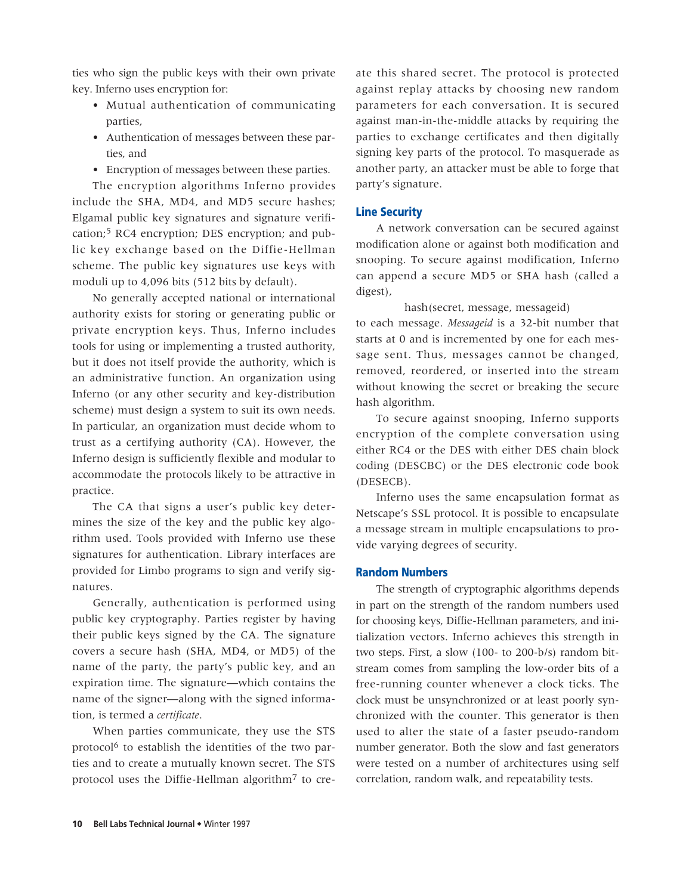ties who sign the public keys with their own private key. Inferno uses encryption for:

- Mutual authentication of communicating parties,
- Authentication of messages between these parties, and
- Encryption of messages between these parties.

The encryption algorithms Inferno provides include the SHA, MD4, and MD5 secure hashes; Elgamal public key signatures and signature verification;5 RC4 encryption; DES encryption; and public key exchange based on the Diffie-Hellman scheme. The public key signatures use keys with moduli up to 4,096 bits (512 bits by default).

No generally accepted national or international authority exists for storing or generating public or private encryption keys. Thus, Inferno includes tools for using or implementing a trusted authority, but it does not itself provide the authority, which is an administrative function. An organization using Inferno (or any other security and key-distribution scheme) must design a system to suit its own needs. In particular, an organization must decide whom to trust as a certifying authority (CA). However, the Inferno design is sufficiently flexible and modular to accommodate the protocols likely to be attractive in practice.

The CA that signs a user's public key determines the size of the key and the public key algorithm used. Tools provided with Inferno use these signatures for authentication. Library interfaces are provided for Limbo programs to sign and verify signatures.

Generally, authentication is performed using public key cryptography. Parties register by having their public keys signed by the CA. The signature covers a secure hash (SHA, MD4, or MD5) of the name of the party, the party's public key, and an expiration time. The signature—which contains the name of the signer—along with the signed information, is termed a *certificate*.

When parties communicate, they use the STS protocol6 to establish the identities of the two parties and to create a mutually known secret. The STS protocol uses the Diffie-Hellman algorithm7 to create this shared secret. The protocol is protected against replay attacks by choosing new random parameters for each conversation. It is secured against man-in-the-middle attacks by requiring the parties to exchange certificates and then digitally signing key parts of the protocol. To masquerade as another party, an attacker must be able to forge that party's signature.

# **Line Security**

A network conversation can be secured against modification alone or against both modification and snooping. To secure against modification, Inferno can append a secure MD5 or SHA hash (called a digest),

hash(secret, message, messageid)

to each message. *Messageid* is a 32-bit number that starts at 0 and is incremented by one for each message sent. Thus, messages cannot be changed, removed, reordered, or inserted into the stream without knowing the secret or breaking the secure hash algorithm.

To secure against snooping, Inferno supports encryption of the complete conversation using either RC4 or the DES with either DES chain block coding (DESCBC) or the DES electronic code book (DESECB).

Inferno uses the same encapsulation format as Netscape's SSL protocol. It is possible to encapsulate a message stream in multiple encapsulations to provide varying degrees of security.

#### **Random Numbers**

The strength of cryptographic algorithms depends in part on the strength of the random numbers used for choosing keys, Diffie-Hellman parameters, and initialization vectors. Inferno achieves this strength in two steps. First, a slow (100- to 200-b/s) random bitstream comes from sampling the low-order bits of a free-running counter whenever a clock ticks. The clock must be unsynchronized or at least poorly synchronized with the counter. This generator is then used to alter the state of a faster pseudo-random number generator. Both the slow and fast generators were tested on a number of architectures using self correlation, random walk, and repeatability tests.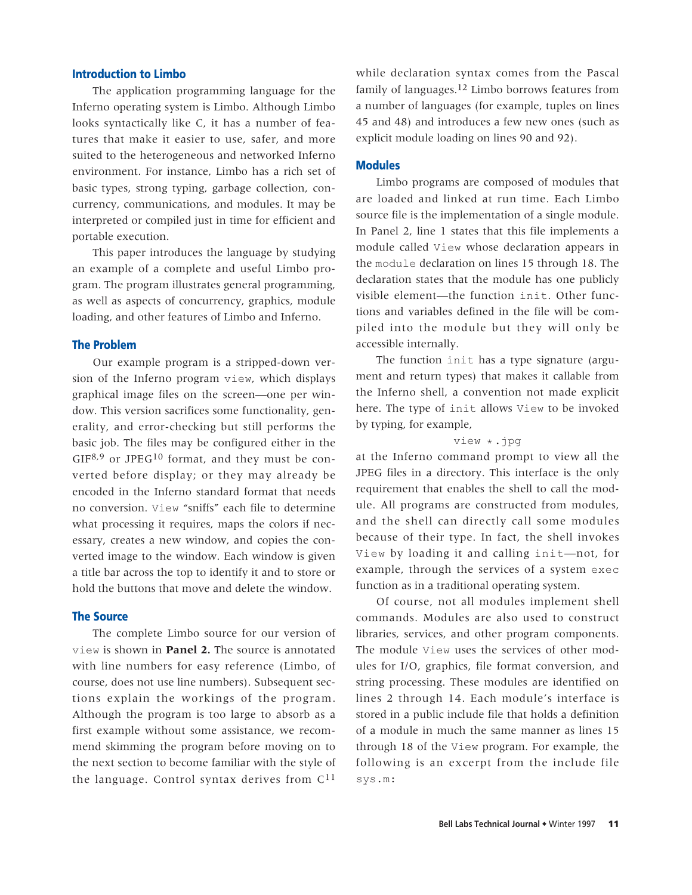## **Introduction to Limbo**

The application programming language for the Inferno operating system is Limbo. Although Limbo looks syntactically like C, it has a number of features that make it easier to use, safer, and more suited to the heterogeneous and networked Inferno environment. For instance, Limbo has a rich set of basic types, strong typing, garbage collection, concurrency, communications, and modules. It may be interpreted or compiled just in time for efficient and portable execution.

This paper introduces the language by studying an example of a complete and useful Limbo program. The program illustrates general programming, as well as aspects of concurrency, graphics, module loading, and other features of Limbo and Inferno.

# **The Problem**

Our example program is a stripped-down version of the Inferno program view, which displays graphical image files on the screen—one per window. This version sacrifices some functionality, generality, and error-checking but still performs the basic job. The files may be configured either in the GIF8,9 or JPEG10 format, and they must be converted before display; or they may already be encoded in the Inferno standard format that needs no conversion. View "sniffs" each file to determine what processing it requires, maps the colors if necessary, creates a new window, and copies the converted image to the window. Each window is given a title bar across the top to identify it and to store or hold the buttons that move and delete the window.

### **The Source**

The complete Limbo source for our version of view is shown in **Panel 2.** The source is annotated with line numbers for easy reference (Limbo, of course, does not use line numbers). Subsequent sections explain the workings of the program. Although the program is too large to absorb as a first example without some assistance, we recommend skimming the program before moving on to the next section to become familiar with the style of the language. Control syntax derives from C11

while declaration syntax comes from the Pascal family of languages.12 Limbo borrows features from a number of languages (for example, tuples on lines 45 and 48) and introduces a few new ones (such as explicit module loading on lines 90 and 92).

## **Modules**

Limbo programs are composed of modules that are loaded and linked at run time. Each Limbo source file is the implementation of a single module. In Panel 2, line 1 states that this file implements a module called View whose declaration appears in the module declaration on lines 15 through 18. The declaration states that the module has one publicly visible element—the function init. Other functions and variables defined in the file will be compiled into the module but they will only be accessible internally.

The function init has a type signature (argument and return types) that makes it callable from the Inferno shell, a convention not made explicit here. The type of init allows View to be invoked by typing, for example,

#### view \*.jpg

at the Inferno command prompt to view all the JPEG files in a directory. This interface is the only requirement that enables the shell to call the module. All programs are constructed from modules, and the shell can directly call some modules because of their type. In fact, the shell invokes View by loading it and calling init—not, for example, through the services of a system exec function as in a traditional operating system.

Of course, not all modules implement shell commands. Modules are also used to construct libraries, services, and other program components. The module View uses the services of other modules for I/O, graphics, file format conversion, and string processing. These modules are identified on lines 2 through 14. Each module's interface is stored in a public include file that holds a definition of a module in much the same manner as lines 15 through 18 of the View program. For example, the following is an excerpt from the include file sys.m: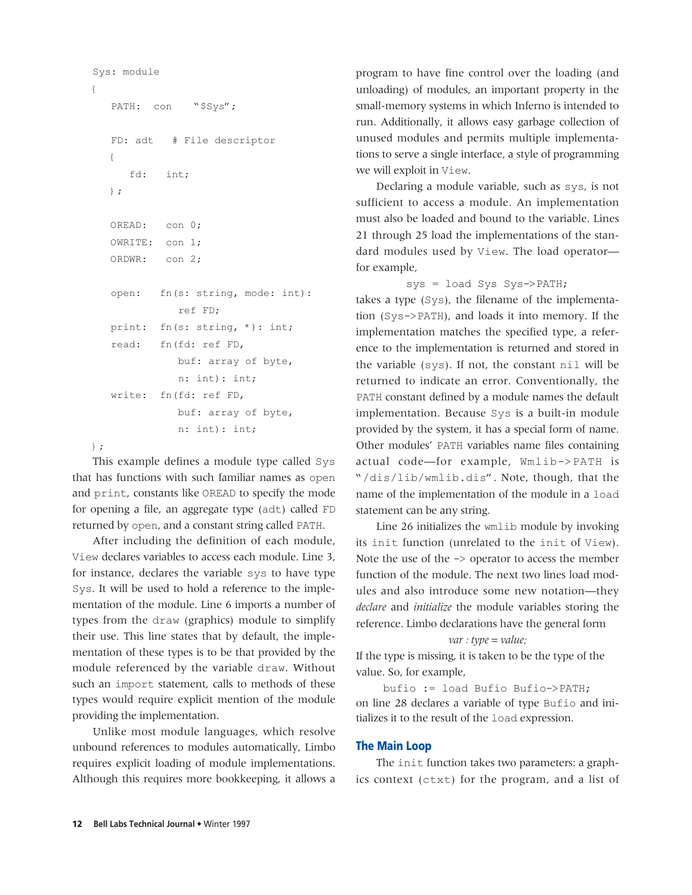```
Sys: module
{
   PATH: con "$Sys";
   FD: adt # File descriptor
   {
      fd: int;
  };
  OREAD: con 0;
   OWRITE: con 1;
  ORDWR: con 2;
   open: fn(s: string, mode: int):
             ref FD;
   print: fn(s: string, *): int;
   read: fn(fd: ref FD,
             buf: array of byte,
             n: int): int;
   write: fn(fd: ref FD,
             buf: array of byte,
             n: int): int;
```
};

This example defines a module type called Sys that has functions with such familiar names as open and print, constants like OREAD to specify the mode for opening a file, an aggregate type (adt) called FD returned by open, and a constant string called PATH.

After including the definition of each module, View declares variables to access each module. Line 3, for instance, declares the variable sys to have type Sys. It will be used to hold a reference to the implementation of the module. Line 6 imports a number of types from the draw (graphics) module to simplify their use. This line states that by default, the implementation of these types is to be that provided by the module referenced by the variable draw. Without such an import statement, calls to methods of these types would require explicit mention of the module providing the implementation.

Unlike most module languages, which resolve unbound references to modules automatically, Limbo requires explicit loading of module implementations. Although this requires more bookkeeping, it allows a

program to have fine control over the loading (and unloading) of modules, an important property in the small-memory systems in which Inferno is intended to run. Additionally, it allows easy garbage collection of unused modules and permits multiple implementations to serve a single interface, a style of programming we will exploit in View.

Declaring a module variable, such as sys, is not sufficient to access a module. An implementation must also be loaded and bound to the variable. Lines 21 through 25 load the implementations of the standard modules used by View. The load operator for example,

sys = load Sys Sys->PATH;

takes a type (Sys), the filename of the implementation (Sys->PATH), and loads it into memory. If the implementation matches the specified type, a reference to the implementation is returned and stored in the variable (sys). If not, the constant nil will be returned to indicate an error. Conventionally, the PATH constant defined by a module names the default implementation. Because Sys is a built-in module provided by the system, it has a special form of name. Other modules' PATH variables name files containing actual code—for example, Wmlib->PATH is "/dis/lib/wmlib.dis". Note, though, that the name of the implementation of the module in a load statement can be any string.

Line 26 initializes the wmlib module by invoking its init function (unrelated to the init of View). Note the use of the  $\rightarrow$  operator to access the member function of the module. The next two lines load modules and also introduce some new notation—they *declare* and *initialize* the module variables storing the reference. Limbo declarations have the general form

## *var : type = value;*

If the type is missing, it is taken to be the type of the value. So, for example,

bufio := load Bufio Bufio->PATH; on line 28 declares a variable of type Bufio and initializes it to the result of the load expression.

# **The Main Loop**

The init function takes two parameters: a graphics context (ctxt) for the program, and a list of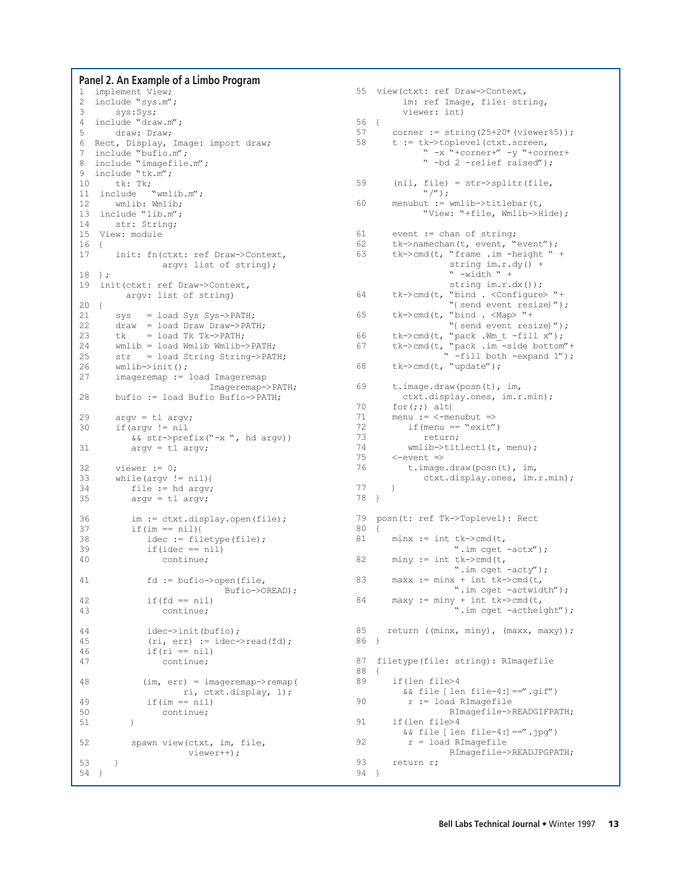**Panel 2. An Example of a Limbo Program** 1 implement View; 2 include "sys.m"; 3 sys:Sys; 4 include "draw.m"; 5 draw: Draw; 6 Rect, Display, Image: import draw; 7 include "bufio.m"; 8 include "imagefile.m"; 9 include "tk.m"; 10 tk: Tk; 11 include "wmlib.m"; 12 wmlib: Wmlib; 13 include "lib.m"; 14 str: String; 15 View: module 16 { 17 init: fn(ctxt: ref Draw->Context, argv: list of string); 18 }; 19 init(ctxt: ref Draw->Context, argv: list of string)  $20$  {<br>21  $sys = load Sys System;$  $22$  draw = load Draw Draw->PATH; 23 tk = load Tk Tk->PATH;<br>24 wmlib = load Wmlib Wmlib->  $wmlib = load Wmlib Wmlib->PATH;$ 25 str = load String String->PATH;<br>26 wmlib->init(); 26 wmlib->init();<br>27 imageremap := imageremap := load Imageremap Imageremap->PATH; 28 bufio := load Bufio Bufio->PATH; 29  $\arg y = t1 \arg y;$ <br>30  $\arg y = \min$  $if(argv := nil)$  $& \& \& \text{str}\rightarrow \text{prefix}("-x", h\text{d } \text{arg}(\text{d})))$ 31 argv = tl argv; 32 viewer  $:= 0;$ <br>33 while (argy  $\frac{1}{2}$ ) while(argv  $!=$  nil){ 34 file := hd argv;<br>35  $\arccos x = 1 \arccos x$  $\text{arg}v = t1 \text{ arg}v;$ 36  $\text{im} := \text{ctxt.display.open}(\text{file});$ <br>37  $\text{if (im == nil)}$ 37  $if(im == nil){$ <br>38  $idec := fil$ 38 idec := filetype(file);<br>39 if(idec == nil)  $if(idec == nil)$ 40 continue; 41 fd := bufio->open(file, Bufio->OREAD); 42 if( $fd == nil$ ) 43 continue; 44 idec->init(bufio); 45 (ri, err) := idec->read(fd);<br>46 if(ri == nil)  $if(ri == nil)$ 47 continue; 48 (im, err) = imageremap->remap( ri, ctxt.display, 1); 49  $if(im == nil)$ 50 continue; 51 } 52 spawn view(ctxt, im, file, viewer++); 53 } 54 }

55 view(ctxt: ref Draw->Context, im: ref Image, file: string, viewer: int) 56 { corner := string( $25+20*$ (viewer%5)); 58 t := tk->toplevel(ctxt.screen, " -x "+corner+" -y "+corner+ " -bd 2 -relief raised"); 59 (nil, file) = str->splitr(file,  $``/''$  ) ; 60 menubut := wmlib->titlebar(t, "View: "+file, Wmlib->Hide); 61 event := chan of string; 62 tk->namechan(t, event, "event");<br>63 tk->cmd(t, "frame .im -height "  $tk$ ->cmd(t, "frame .im -height" + string im.r.dy() + " -width " + string im.r.dx()); 64 tk->cmd(t, "bind . <Configure> "+ "{send event resize}"); 65 tk->cmd(t, "bind . <Map> "+ "{send event resize}"); 66 tk->cmd(t, "pack .Wm t -fill  $x'$ ); 67 tk->cmd(t, "pack .im -side bottom"+ " -fill both -expand 1"); 68  $tk->cmd(t, "update")$ ; 69 t.image.draw(posn(t), im, ctxt.display.ones, im.r.min); 70  $for(j; j)$  alt{ 71 menu :=  $\langle -$ menubut =><br>72 if (menu ==  $"\exp t"$  $if($ menu == "exit") 73 return;<br>74 wmlib->tit 74 wmlib->titlectl(t, menu);  $\langle -\text{event} \rangle$ 76 t.image.draw(posn(t), im, ctxt.display.ones, im.r.min); 77 } 78 } 79 posn(t: ref Tk->Toplevel): Rect 80 { 81 minx := int  $tk$ ->cmd( $t$ , ".im cget -actx"); 82 miny := int  $tk$ ->cmd( $t$ , ".im cget -acty"); 83 maxx :=  $minx + int$   $tk$ - $>$ cmd $(t,$ ".im cget -actwidth"); 84 maxy :=  $miny + int tk->cmd(t,$ ".im cget -actheight"); 85 return ((minx, miny), (maxx, maxy)); 86 } 87 filetype(file: string): RImagefile 88 { 89 if(len file>4 && file [len file-4:]==".gif") 90 r := load RImagefile RImagefile->READGIFPATH; 91 if(len file>4 && file [len file-4:]==".jpg") 92  $r =$  load RImagefile RImagefile->READJPGPATH; 93 return r; 94 }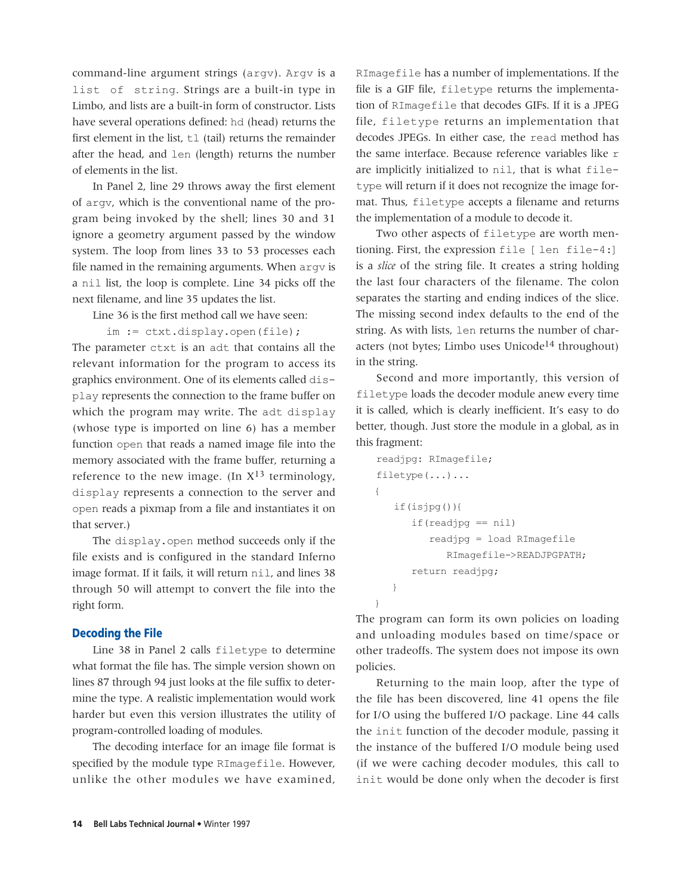command-line argument strings (argv). Argv is a list of string. Strings are a built-in type in Limbo, and lists are a built-in form of constructor. Lists have several operations defined: hd (head) returns the first element in the list,  $\pm 1$  (tail) returns the remainder after the head, and len (length) returns the number of elements in the list.

In Panel 2, line 29 throws away the first element of argv, which is the conventional name of the program being invoked by the shell; lines 30 and 31 ignore a geometry argument passed by the window system. The loop from lines 33 to 53 processes each file named in the remaining arguments. When argv is a nil list, the loop is complete. Line 34 picks off the next filename, and line 35 updates the list.

Line 36 is the first method call we have seen:

```
im := ctxt.display.open(file);
```
The parameter ctxt is an adt that contains all the relevant information for the program to access its graphics environment. One of its elements called display represents the connection to the frame buffer on which the program may write. The adt display (whose type is imported on line 6) has a member function open that reads a named image file into the memory associated with the frame buffer, returning a reference to the new image. (In  $X^{13}$  terminology, display represents a connection to the server and open reads a pixmap from a file and instantiates it on that server.)

The display.open method succeeds only if the file exists and is configured in the standard Inferno image format. If it fails, it will return nil, and lines 38 through 50 will attempt to convert the file into the right form.

# **Decoding the File**

Line 38 in Panel 2 calls filetype to determine what format the file has. The simple version shown on lines 87 through 94 just looks at the file suffix to determine the type. A realistic implementation would work harder but even this version illustrates the utility of program-controlled loading of modules.

The decoding interface for an image file format is specified by the module type RImagefile. However, unlike the other modules we have examined,

RImagefile has a number of implementations. If the file is a GIF file, filetype returns the implementation of RImagefile that decodes GIFs. If it is a JPEG file, filetype returns an implementation that decodes JPEGs. In either case, the read method has the same interface. Because reference variables like r are implicitly initialized to nil, that is what filetype will return if it does not recognize the image format. Thus, filetype accepts a filename and returns the implementation of a module to decode it.

Two other aspects of filetype are worth mentioning. First, the expression file  $\lceil$  len file-4: is a *slice* of the string file. It creates a string holding the last four characters of the filename. The colon separates the starting and ending indices of the slice. The missing second index defaults to the end of the string. As with lists, len returns the number of characters (not bytes; Limbo uses Unicode<sup>14</sup> throughout) in the string.

Second and more importantly, this version of filetype loads the decoder module anew every time it is called, which is clearly inefficient. It's easy to do better, though. Just store the module in a global, as in this fragment:

```
readjpg: RImagefile;
filetype(...)...
{
   if(isjpg()){
      if(readjpg == nil)
         readjpg = load RImagefile
            RImagefile->READJPGPATH;
      return readjpg;
  }
}
```
The program can form its own policies on loading and unloading modules based on time/space or other tradeoffs. The system does not impose its own policies.

Returning to the main loop, after the type of the file has been discovered, line 41 opens the file for I/O using the buffered I/O package. Line 44 calls the init function of the decoder module, passing it the instance of the buffered I/O module being used (if we were caching decoder modules, this call to init would be done only when the decoder is first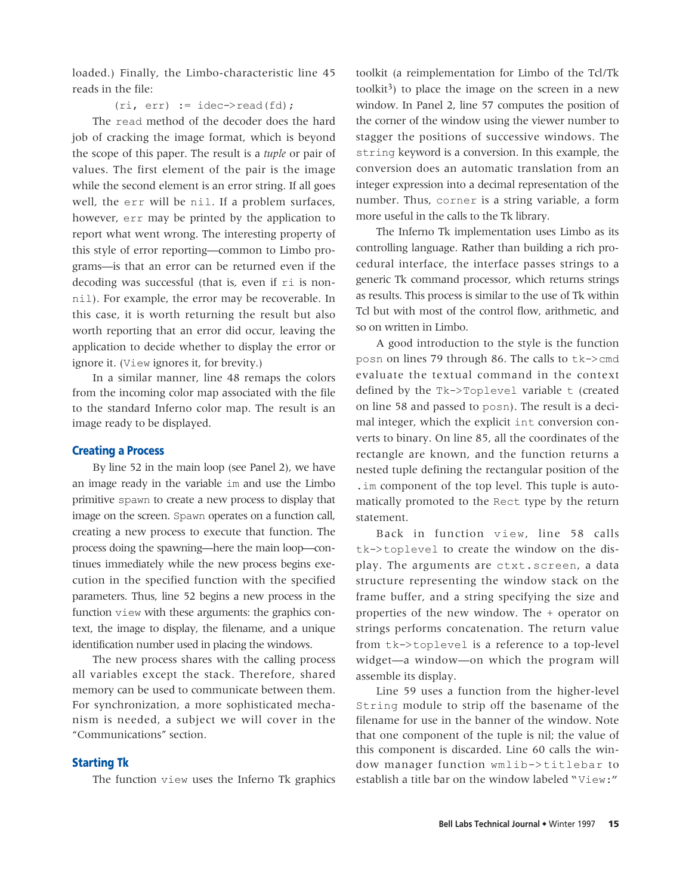loaded.) Finally, the Limbo-characteristic line 45 reads in the file:

 $(ri, err) := idec$ ->read(fd);

The read method of the decoder does the hard job of cracking the image format, which is beyond the scope of this paper. The result is a *tuple* or pair of values. The first element of the pair is the image while the second element is an error string. If all goes well, the err will be nil. If a problem surfaces, however, err may be printed by the application to report what went wrong. The interesting property of this style of error reporting—common to Limbo programs—is that an error can be returned even if the decoding was successful (that is, even if ri is nonnil). For example, the error may be recoverable. In this case, it is worth returning the result but also worth reporting that an error did occur, leaving the application to decide whether to display the error or ignore it. (View ignores it, for brevity.)

In a similar manner, line 48 remaps the colors from the incoming color map associated with the file to the standard Inferno color map. The result is an image ready to be displayed.

# **Creating a Process**

By line 52 in the main loop (see Panel 2), we have an image ready in the variable im and use the Limbo primitive spawn to create a new process to display that image on the screen. Spawn operates on a function call, creating a new process to execute that function. The process doing the spawning—here the main loop—continues immediately while the new process begins execution in the specified function with the specified parameters. Thus, line 52 begins a new process in the function view with these arguments: the graphics context, the image to display, the filename, and a unique identification number used in placing the windows.

The new process shares with the calling process all variables except the stack. Therefore, shared memory can be used to communicate between them. For synchronization, a more sophisticated mechanism is needed, a subject we will cover in the "Communications" section.

## **Starting Tk**

The function view uses the Inferno Tk graphics

toolkit (a reimplementation for Limbo of the Tcl/Tk toolkit<sup>3</sup>) to place the image on the screen in a new window. In Panel 2, line 57 computes the position of the corner of the window using the viewer number to stagger the positions of successive windows. The string keyword is a conversion. In this example, the conversion does an automatic translation from an integer expression into a decimal representation of the number. Thus, corner is a string variable, a form more useful in the calls to the Tk library.

The Inferno Tk implementation uses Limbo as its controlling language. Rather than building a rich procedural interface, the interface passes strings to a generic Tk command processor, which returns strings as results. This process is similar to the use of Tk within Tcl but with most of the control flow, arithmetic, and so on written in Limbo.

A good introduction to the style is the function posn on lines 79 through 86. The calls to tk->cmd evaluate the textual command in the context defined by the Tk->Toplevel variable t (created on line 58 and passed to posn). The result is a decimal integer, which the explicit int conversion converts to binary. On line 85, all the coordinates of the rectangle are known, and the function returns a nested tuple defining the rectangular position of the .im component of the top level. This tuple is automatically promoted to the Rect type by the return statement.

Back in function view, line 58 calls tk->toplevel to create the window on the display. The arguments are ctxt.screen, a data structure representing the window stack on the frame buffer, and a string specifying the size and properties of the new window. The + operator on strings performs concatenation. The return value from tk->toplevel is a reference to a top-level widget—a window—on which the program will assemble its display.

Line 59 uses a function from the higher-level String module to strip off the basename of the filename for use in the banner of the window. Note that one component of the tuple is nil; the value of this component is discarded. Line 60 calls the window manager function wmlib->titlebar to establish a title bar on the window labeled "View:"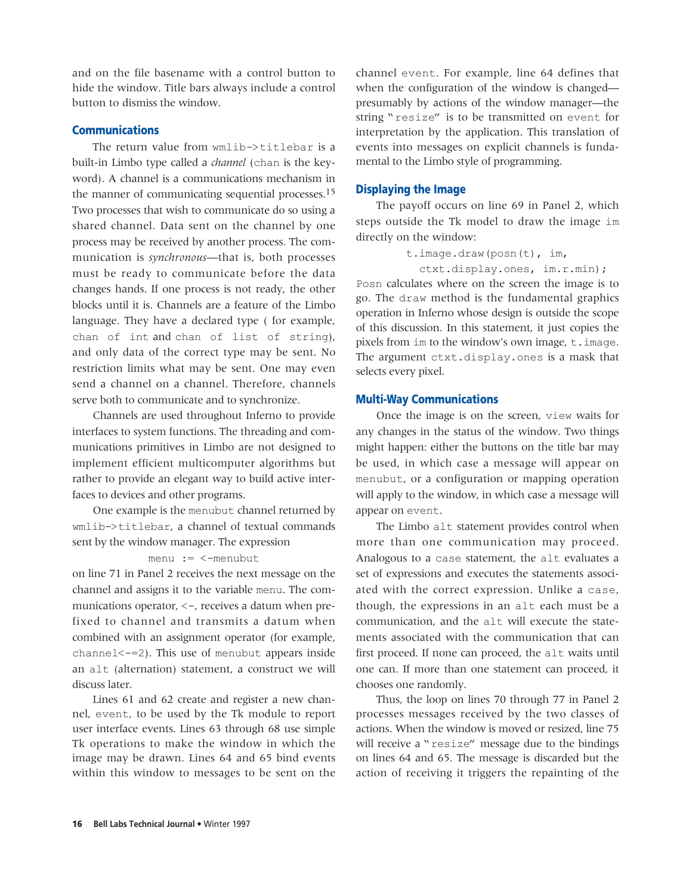and on the file basename with a control button to hide the window. Title bars always include a control button to dismiss the window.

# **Communications**

The return value from wmlib->titlebar is a built-in Limbo type called a *channel* (chan is the keyword). A channel is a communications mechanism in the manner of communicating sequential processes.15 Two processes that wish to communicate do so using a shared channel. Data sent on the channel by one process may be received by another process. The communication is *synchronous*—that is, both processes must be ready to communicate before the data changes hands. If one process is not ready, the other blocks until it is. Channels are a feature of the Limbo language. They have a declared type ( for example, chan of int and chan of list of string), and only data of the correct type may be sent. No restriction limits what may be sent. One may even send a channel on a channel. Therefore, channels serve both to communicate and to synchronize.

Channels are used throughout Inferno to provide interfaces to system functions. The threading and communications primitives in Limbo are not designed to implement efficient multicomputer algorithms but rather to provide an elegant way to build active interfaces to devices and other programs.

One example is the menubut channel returned by wmlib->titlebar, a channel of textual commands sent by the window manager. The expression

#### menu := <-menubut

on line 71 in Panel 2 receives the next message on the channel and assigns it to the variable menu. The communications operator,  $\lt$  –, receives a datum when prefixed to channel and transmits a datum when combined with an assignment operator (for example, channel<-=2). This use of menubut appears inside an alt (alternation) statement, a construct we will discuss later.

Lines 61 and 62 create and register a new channel, event, to be used by the Tk module to report user interface events. Lines 63 through 68 use simple Tk operations to make the window in which the image may be drawn. Lines 64 and 65 bind events within this window to messages to be sent on the

channel event. For example, line 64 defines that when the configuration of the window is changed presumably by actions of the window manager—the string "resize" is to be transmitted on event for interpretation by the application. This translation of events into messages on explicit channels is fundamental to the Limbo style of programming.

# **Displaying the Image**

The payoff occurs on line 69 in Panel 2, which steps outside the Tk model to draw the image im directly on the window:

> t.image.draw(posn(t), im, ctxt.display.ones, im.r.min);

Posn calculates where on the screen the image is to go. The draw method is the fundamental graphics operation in Inferno whose design is outside the scope of this discussion. In this statement, it just copies the pixels from im to the window's own image, t.image. The argument ctxt.display.ones is a mask that selects every pixel.

## **Multi-Way Communications**

Once the image is on the screen, view waits for any changes in the status of the window. Two things might happen: either the buttons on the title bar may be used, in which case a message will appear on menubut, or a configuration or mapping operation will apply to the window, in which case a message will appear on event.

The Limbo alt statement provides control when more than one communication may proceed. Analogous to a case statement, the alt evaluates a set of expressions and executes the statements associated with the correct expression. Unlike a case, though, the expressions in an alt each must be a communication, and the alt will execute the statements associated with the communication that can first proceed. If none can proceed, the alt waits until one can. If more than one statement can proceed, it chooses one randomly.

Thus, the loop on lines 70 through 77 in Panel 2 processes messages received by the two classes of actions. When the window is moved or resized, line 75 will receive a "resize" message due to the bindings on lines 64 and 65. The message is discarded but the action of receiving it triggers the repainting of the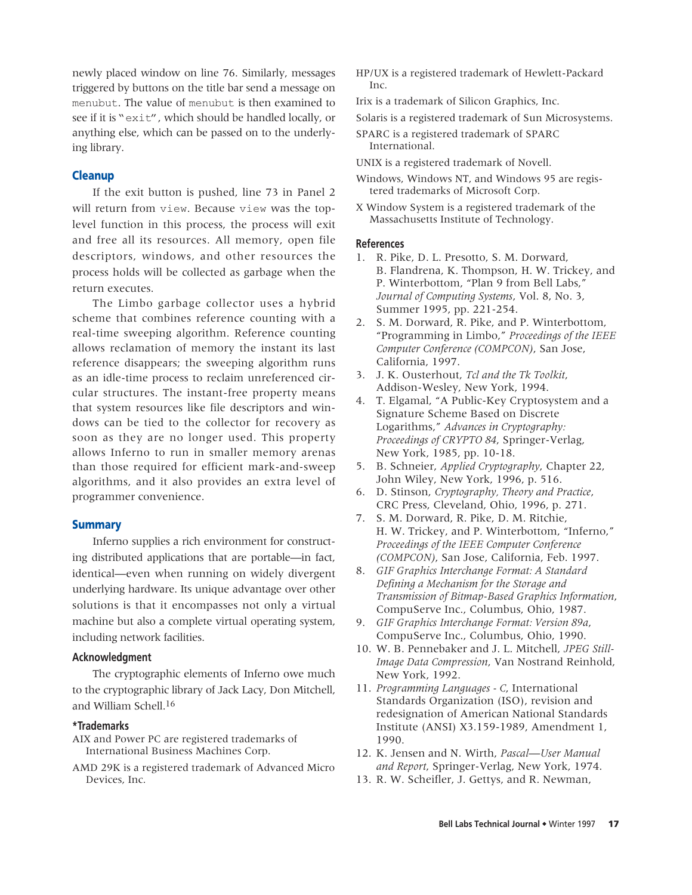newly placed window on line 76. Similarly, messages triggered by buttons on the title bar send a message on menubut. The value of menubut is then examined to see if it is "exit", which should be handled locally, or anything else, which can be passed on to the underlying library.

# **Cleanup**

If the exit button is pushed, line 73 in Panel 2 will return from view. Because view was the toplevel function in this process, the process will exit and free all its resources. All memory, open file descriptors, windows, and other resources the process holds will be collected as garbage when the return executes.

The Limbo garbage collector uses a hybrid scheme that combines reference counting with a real-time sweeping algorithm. Reference counting allows reclamation of memory the instant its last reference disappears; the sweeping algorithm runs as an idle-time process to reclaim unreferenced circular structures. The instant-free property means that system resources like file descriptors and windows can be tied to the collector for recovery as soon as they are no longer used. This property allows Inferno to run in smaller memory arenas than those required for efficient mark-and-sweep algorithms, and it also provides an extra level of programmer convenience.

#### **Summary**

Inferno supplies a rich environment for constructing distributed applications that are portable—in fact, identical—even when running on widely divergent underlying hardware. Its unique advantage over other solutions is that it encompasses not only a virtual machine but also a complete virtual operating system, including network facilities.

#### **Acknowledgment**

The cryptographic elements of Inferno owe much to the cryptographic library of Jack Lacy, Don Mitchell, and William Schell.16

# **\*Trademarks**

AIX and Power PC are registered trademarks of International Business Machines Corp.

AMD 29K is a registered trademark of Advanced Micro Devices, Inc.

HP/UX is a registered trademark of Hewlett-Packard Inc.

Irix is a trademark of Silicon Graphics, Inc.

Solaris is a registered trademark of Sun Microsystems.

SPARC is a registered trademark of SPARC International.

UNIX is a registered trademark of Novell.

- Windows, Windows NT, and Windows 95 are registered trademarks of Microsoft Corp.
- X Window System is a registered trademark of the Massachusetts Institute of Technology.

#### **References**

- 1. R. Pike, D. L. Presotto, S. M. Dorward, B. Flandrena, K. Thompson, H. W. Trickey, and P. Winterbottom, "Plan 9 from Bell Labs," *Journal of Computing Systems*, Vol. 8, No. 3, Summer 1995, pp. 221-254.
- 2. S. M. Dorward, R. Pike, and P. Winterbottom, "Programming in Limbo," *Proceedings of the IEEE Computer Conference (COMPCON)*, San Jose, California, 1997.
- 3. J. K. Ousterhout, *Tcl and the Tk Toolkit*, Addison-Wesley, New York, 1994.
- 4. T. Elgamal, "A Public-Key Cryptosystem and a Signature Scheme Based on Discrete Logarithms," *Advances in Cryptography: Proceedings of CRYPTO 84*, Springer-Verlag, New York, 1985, pp. 10-18.
- 5. B. Schneier, *Applied Cryptography*, Chapter 22, John Wiley, New York, 1996, p. 516.
- 6. D. Stinson, *Cryptography, Theory and Practice*, CRC Press, Cleveland, Ohio, 1996, p. 271.
- 7. S. M. Dorward, R. Pike, D. M. Ritchie, H. W. Trickey, and P. Winterbottom, "Inferno," *Proceedings of the IEEE Computer Conference (COMPCON)*, San Jose, California, Feb. 1997.
- 8. *GIF Graphics Interchange Format: A Standard Defining a Mechanism for the Storage and Transmission of Bitmap-Based Graphics Information*, CompuServe Inc., Columbus, Ohio, 1987.
- 9. *GIF Graphics Interchange Format: Version 89a*, CompuServe Inc., Columbus, Ohio, 1990.
- 10. W. B. Pennebaker and J. L. Mitchell, *JPEG Still-Image Data Compression*, Van Nostrand Reinhold, New York, 1992.
- 11. *Programming Languages C*, International Standards Organization (ISO), revision and redesignation of American National Standards Institute (ANSI) X3.159-1989, Amendment 1, 1990.
- 12. K. Jensen and N. Wirth, *Pascal—User Manual and Report*, Springer-Verlag, New York, 1974.
- 13. R. W. Scheifler, J. Gettys, and R. Newman,